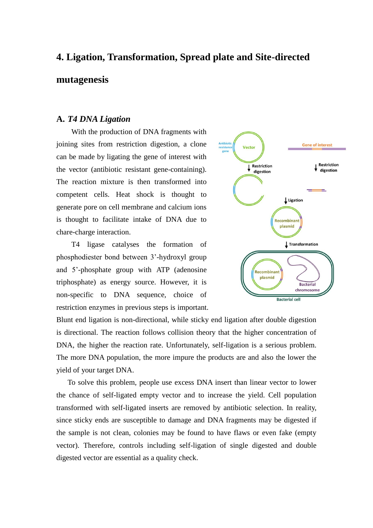# **4. Ligation, Transformation, Spread plate and Site-directed mutagenesis**

#### **A.** *T4 DNA Ligation*

With the production of DNA fragments with joining sites from restriction digestion, a clone can be made by ligating the gene of interest with the vector (antibiotic resistant gene-containing). The reaction mixture is then transformed into competent cells. Heat shock is thought to generate pore on cell membrane and calcium ions is thought to facilitate intake of DNA due to chare-charge interaction.

T4 ligase catalyses the formation of phosphodiester bond between 3'-hydroxyl group and 5'-phosphate group with ATP (adenosine triphosphate) as energy source. However, it is non-specific to DNA sequence, choice of restriction enzymes in previous steps is important.



Blunt end ligation is non-directional, while sticky end ligation after double digestion is directional. The reaction follows collision theory that the higher concentration of DNA, the higher the reaction rate. Unfortunately, self-ligation is a serious problem. The more DNA population, the more impure the products are and also the lower the yield of your target DNA.

To solve this problem, people use excess DNA insert than linear vector to lower the chance of self-ligated empty vector and to increase the yield. Cell population transformed with self-ligated inserts are removed by antibiotic selection. In reality, since sticky ends are susceptible to damage and DNA fragments may be digested if the sample is not clean, colonies may be found to have flaws or even fake (empty vector). Therefore, controls including self-ligation of single digested and double digested vector are essential as a quality check.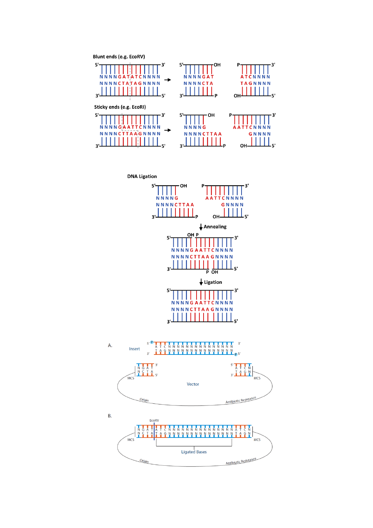

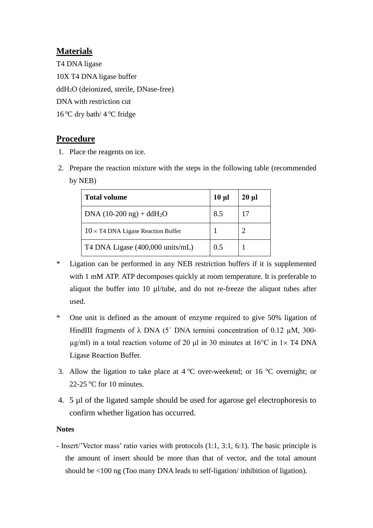### **Materials**

T4 DNA ligase 10X T4 DNA ligase buffer ddH2O (deionized, sterile, DNase-free) DNA with restriction cut  $16^{\circ}$ C dry bath/  $4^{\circ}$ C fridge

## **Procedure**

- 1. Place the reagents on ice.
- 2. Prepare the reaction mixture with the steps in the following table (recommended by NEB)

| <b>Total volume</b>                       | $10 \mu$ | $20 \mu l$ |
|-------------------------------------------|----------|------------|
| DNA $(10-200 \text{ ng}) + d dH_2O$       | 8.5      |            |
| $10 \times$ T4 DNA Ligase Reaction Buffer |          |            |
| T4 DNA Ligase (400,000 units/mL)          | 0.5      |            |

- \* Ligation can be performed in any NEB restriction buffers if it is supplemented with 1 mM ATP. ATP decomposes quickly at room temperature. It is preferable to aliquot the buffer into 10 µl/tube, and do not re-freeze the aliquot tubes after used.
- \* One unit is defined as the amount of enzyme required to give 50% ligation of HindIII fragments of  $\lambda$  DNA (5<sup>'</sup> DNA termini concentration of 0.12  $\mu$ M, 300- $\mu$ g/ml) in a total reaction volume of 20  $\mu$ l in 30 minutes at 16°C in 1× T4 DNA Ligase Reaction Buffer.
- 3. Allow the ligation to take place at  $4^{\circ}$ C over-weekend; or 16  $^{\circ}$ C overnight; or 22-25  $\mathrm{°C}$  for 10 minutes.
- 4. 5 µl of the ligated sample should be used for agarose gel electrophoresis to confirm whether ligation has occurred.

### **Notes**

- Insert/'Vector mass' ratio varies with protocols (1:1, 3:1, 6:1). The basic principle is the amount of insert should be more than that of vector, and the total amount should be <100 ng (Too many DNA leads to self-ligation/ inhibition of ligation).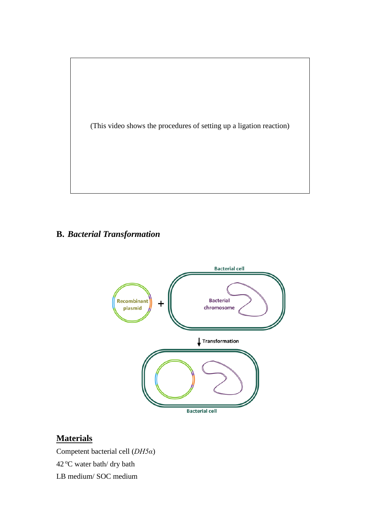

# **B.** *Bacterial Transformation*



# **Materials**

Competent bacterial cell (*DH5α*) 42 °C water bath/ dry bath

LB medium/ SOC medium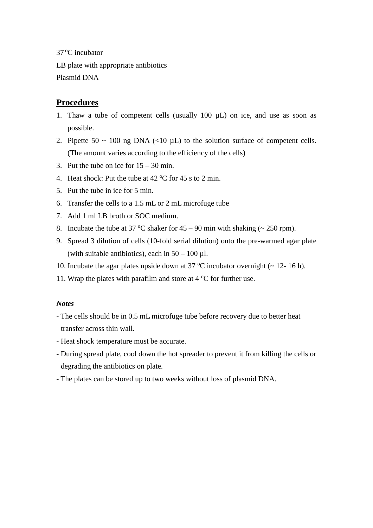37 °C incubator

LB plate with appropriate antibiotics Plasmid DNA

### **Procedures**

- 1. Thaw a tube of competent cells (usually 100 µL) on ice, and use as soon as possible.
- 2. Pipette  $50 \sim 100$  ng DNA (<10  $\mu$ L) to the solution surface of competent cells. (The amount varies according to the efficiency of the cells)
- 3. Put the tube on ice for  $15 30$  min.
- 4. Heat shock: Put the tube at  $42^{\circ}$ C for  $45$  s to 2 min.
- 5. Put the tube in ice for 5 min.
- 6. Transfer the cells to a 1.5 mL or 2 mL microfuge tube
- 7. Add 1 ml LB broth or SOC medium.
- 8. Incubate the tube at 37 °C shaker for  $45 90$  min with shaking (~ 250 rpm).
- 9. Spread 3 dilution of cells (10-fold serial dilution) onto the pre-warmed agar plate (with suitable antibiotics), each in  $50 - 100 \mu$ .
- 10. Incubate the agar plates upside down at 37  $^{\circ}$ C incubator overnight ( $\sim$  12-16 h).
- 11. Wrap the plates with parafilm and store at  $4^{\circ}$ C for further use.

### *Notes*

- The cells should be in 0.5 mL microfuge tube before recovery due to better heat transfer across thin wall.
- Heat shock temperature must be accurate.
- During spread plate, cool down the hot spreader to prevent it from killing the cells or degrading the antibiotics on plate.
- The plates can be stored up to two weeks without loss of plasmid DNA.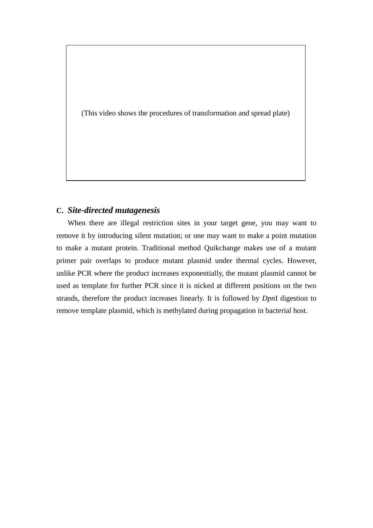(This video shows the procedures of transformation and spread plate)

### **C.** *Site-directed mutagenesis*

When there are illegal restriction sites in your target gene, you may want to remove it by introducing silent mutation; or one may want to make a point mutation to make a mutant protein. Traditional method Quikchange makes use of a mutant primer pair overlaps to produce mutant plasmid under thermal cycles. However, unlike PCR where the product increases exponentially, the mutant plasmid cannot be used as template for further PCR since it is nicked at different positions on the two strands, therefore the product increases linearly. It is followed by *Dpn*I digestion to remove template plasmid, which is methylated during propagation in bacterial host.